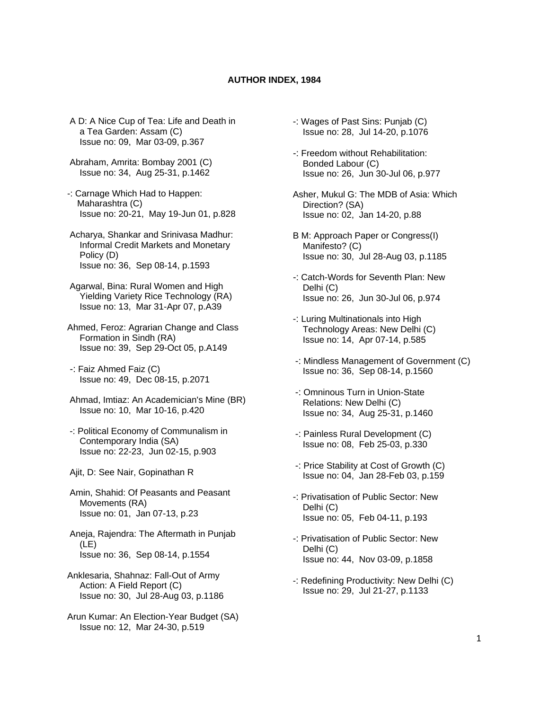## **AUTHOR INDEX, 1984**

- A D: A Nice Cup of Tea: Life and Death in a Tea Garden: Assam (C) Issue no: 09, Mar 03-09, p.367
- Abraham, Amrita: Bombay 2001 (C) Issue no: 34, Aug 25-31, p.1462
- -: Carnage Which Had to Happen: Maharashtra (C) Issue no: 20-21, May 19-Jun 01, p.828
- Acharya, Shankar and Srinivasa Madhur: Informal Credit Markets and Monetary Policy (D) Issue no: 36, Sep 08-14, p.1593
- Agarwal, Bina: Rural Women and High Yielding Variety Rice Technology (RA) Issue no: 13, Mar 31-Apr 07, p.A39
- Ahmed, Feroz: Agrarian Change and Class Formation in Sindh (RA) Issue no: 39, Sep 29-Oct 05, p.A149
- -: Faiz Ahmed Faiz (C) Issue no: 49, Dec 08-15, p.2071
- Ahmad, Imtiaz: An Academician's Mine (BR) Issue no: 10, Mar 10-16, p.420
- -: Political Economy of Communalism in Contemporary India (SA) Issue no: 22-23, Jun 02-15, p.903
- Ajit, D: See Nair, Gopinathan R
- Amin, Shahid: Of Peasants and Peasant Movements (RA) Issue no: 01, Jan 07-13, p.23
- Aneja, Rajendra: The Aftermath in Punjab (LE) Issue no: 36, Sep 08-14, p.1554
- Anklesaria, Shahnaz: Fall-Out of Army Action: A Field Report (C) Issue no: 30, Jul 28-Aug 03, p.1186
- Arun Kumar: An Election-Year Budget (SA) Issue no: 12, Mar 24-30, p.519
- -: Wages of Past Sins: Punjab (C) Issue no: 28, Jul 14-20, p.1076
- -: Freedom without Rehabilitation: Bonded Labour (C) Issue no: 26, Jun 30-Jul 06, p.977
- Asher, Mukul G: The MDB of Asia: Which Direction? (SA) Issue no: 02, Jan 14-20, p.88
- B M: Approach Paper or Congress(I) Manifesto? (C) Issue no: 30, Jul 28-Aug 03, p.1185
- -: Catch-Words for Seventh Plan: New Delhi (C) Issue no: 26, Jun 30-Jul 06, p.974
- -: Luring Multinationals into High Technology Areas: New Delhi (C) Issue no: 14, Apr 07-14, p.585
- -: Mindless Management of Government (C) Issue no: 36, Sep 08-14, p.1560
- -: Omninous Turn in Union-State Relations: New Delhi (C) Issue no: 34, Aug 25-31, p.1460
- -: Painless Rural Development (C) Issue no: 08, Feb 25-03, p.330
- -: Price Stability at Cost of Growth (C) Issue no: 04, Jan 28-Feb 03, p.159
- -: Privatisation of Public Sector: New Delhi (C) Issue no: 05, Feb 04-11, p.193
- -: Privatisation of Public Sector: New Delhi (C) Issue no: 44, Nov 03-09, p.1858
- -: Redefining Productivity: New Delhi (C) Issue no: 29, Jul 21-27, p.1133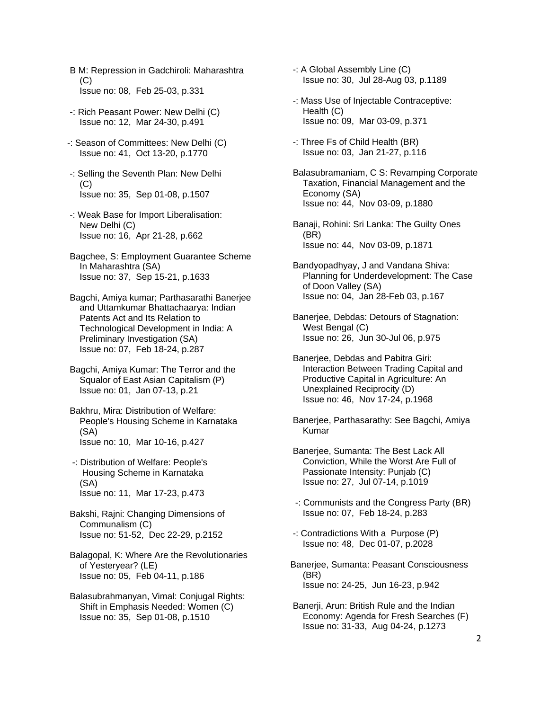- B M: Repression in Gadchiroli: Maharashtra  $(C)$ Issue no: 08, Feb 25-03, p.331
- -: Rich Peasant Power: New Delhi (C) Issue no: 12, Mar 24-30, p.491
- -: Season of Committees: New Delhi (C) Issue no: 41, Oct 13-20, p.1770
- -: Selling the Seventh Plan: New Delhi  $(C)$ Issue no: 35, Sep 01-08, p.1507
- -: Weak Base for Import Liberalisation: New Delhi (C) Issue no: 16, Apr 21-28, p.662
- Bagchee, S: Employment Guarantee Scheme In Maharashtra (SA) Issue no: 37, Sep 15-21, p.1633
- Bagchi, Amiya kumar; Parthasarathi Banerjee and Uttamkumar Bhattachaarya: Indian Patents Act and Its Relation to Technological Development in India: A Preliminary Investigation (SA) Issue no: 07, Feb 18-24, p.287
- Bagchi, Amiya Kumar: The Terror and the Squalor of East Asian Capitalism (P) Issue no: 01, Jan 07-13, p.21
- Bakhru, Mira: Distribution of Welfare: People's Housing Scheme in Karnataka (SA) Issue no: 10, Mar 10-16, p.427
- -: Distribution of Welfare: People's Housing Scheme in Karnataka (SA) Issue no: 11, Mar 17-23, p.473
- Bakshi, Rajni: Changing Dimensions of Communalism (C) Issue no: 51-52, Dec 22-29, p.2152
- Balagopal, K: Where Are the Revolutionaries of Yesteryear? (LE) Issue no: 05, Feb 04-11, p.186
- Balasubrahmanyan, Vimal: Conjugal Rights: Shift in Emphasis Needed: Women (C) Issue no: 35, Sep 01-08, p.1510
- -: A Global Assembly Line (C) Issue no: 30, Jul 28-Aug 03, p.1189
- -: Mass Use of Injectable Contraceptive: Health (C) Issue no: 09, Mar 03-09, p.371
- -: Three Fs of Child Health (BR) Issue no: 03, Jan 21-27, p.116
- Balasubramaniam, C S: Revamping Corporate Taxation, Financial Management and the Economy (SA) Issue no: 44, Nov 03-09, p.1880
- Banaji, Rohini: Sri Lanka: The Guilty Ones (BR) Issue no: 44, Nov 03-09, p.1871
- Bandyopadhyay, J and Vandana Shiva: Planning for Underdevelopment: The Case of Doon Valley (SA) Issue no: 04, Jan 28-Feb 03, p.167
- Banerjee, Debdas: Detours of Stagnation: West Bengal (C) Issue no: 26, Jun 30-Jul 06, p.975
- Banerjee, Debdas and Pabitra Giri: Interaction Between Trading Capital and Productive Capital in Agriculture: An Unexplained Reciprocity (D) Issue no: 46, Nov 17-24, p.1968
- Banerjee, Parthasarathy: See Bagchi, Amiya Kumar
- Banerjee, Sumanta: The Best Lack All Conviction, While the Worst Are Full of Passionate Intensity: Punjab (C) Issue no: 27, Jul 07-14, p.1019
- -: Communists and the Congress Party (BR) Issue no: 07, Feb 18-24, p.283
- -: Contradictions With a Purpose (P) Issue no: 48, Dec 01-07, p.2028
- Banerjee, Sumanta: Peasant Consciousness (BR) Issue no: 24-25, Jun 16-23, p.942
- Banerji, Arun: British Rule and the Indian Economy: Agenda for Fresh Searches (F) Issue no: 31-33, Aug 04-24, p.1273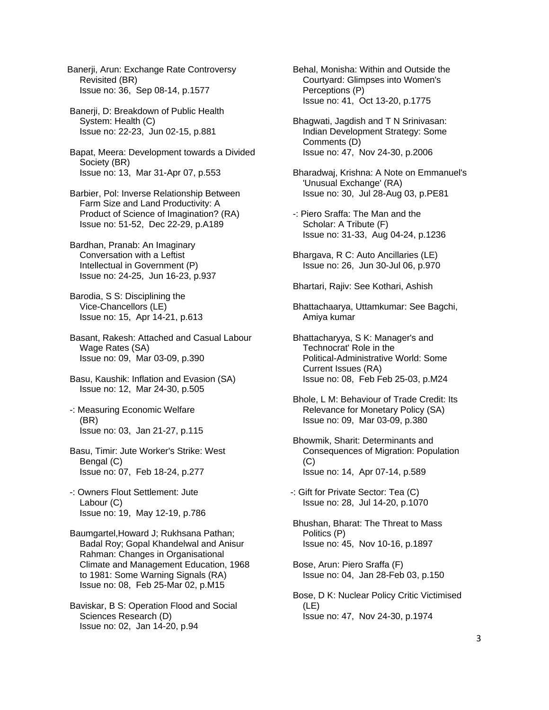Banerji, Arun: Exchange Rate Controversy Revisited (BR) Issue no: 36, Sep 08-14, p.1577

 Banerji, D: Breakdown of Public Health System: Health (C) Issue no: 22-23, Jun 02-15, p.881

 Bapat, Meera: Development towards a Divided Society (BR) Issue no: 13, Mar 31-Apr 07, p.553

 Barbier, Pol: Inverse Relationship Between Farm Size and Land Productivity: A Product of Science of Imagination? (RA) Issue no: 51-52, Dec 22-29, p.A189

 Bardhan, Pranab: An Imaginary Conversation with a Leftist Intellectual in Government (P) Issue no: 24-25, Jun 16-23, p.937

 Barodia, S S: Disciplining the Vice-Chancellors (LE) Issue no: 15, Apr 14-21, p.613

 Basant, Rakesh: Attached and Casual Labour Wage Rates (SA) Issue no: 09, Mar 03-09, p.390

 Basu, Kaushik: Inflation and Evasion (SA) Issue no: 12, Mar 24-30, p.505

 -: Measuring Economic Welfare (BR) Issue no: 03, Jan 21-27, p.115

 Basu, Timir: Jute Worker's Strike: West Bengal (C) Issue no: 07, Feb 18-24, p.277

 -: Owners Flout Settlement: Jute Labour (C) Issue no: 19, May 12-19, p.786

 Baumgartel,Howard J; Rukhsana Pathan; Badal Roy; Gopal Khandelwal and Anisur Rahman: Changes in Organisational Climate and Management Education, 1968 to 1981: Some Warning Signals (RA) Issue no: 08, Feb 25-Mar 02, p.M15

 Baviskar, B S: Operation Flood and Social Sciences Research (D) Issue no: 02, Jan 14-20, p.94

 Behal, Monisha: Within and Outside the Courtyard: Glimpses into Women's Perceptions (P) Issue no: 41, Oct 13-20, p.1775

 Bhagwati, Jagdish and T N Srinivasan: Indian Development Strategy: Some Comments (D) Issue no: 47, Nov 24-30, p.2006

 Bharadwaj, Krishna: A Note on Emmanuel's 'Unusual Exchange' (RA) Issue no: 30, Jul 28-Aug 03, p.PE81

- -: Piero Sraffa: The Man and the Scholar: A Tribute (F) Issue no: 31-33, Aug 04-24, p.1236
- Bhargava, R C: Auto Ancillaries (LE) Issue no: 26, Jun 30-Jul 06, p.970

Bhartari, Rajiv: See Kothari, Ashish

 Bhattachaarya, Uttamkumar: See Bagchi, Amiya kumar

 Bhattacharyya, S K: Manager's and Technocrat' Role in the Political-Administrative World: Some Current Issues (RA) Issue no: 08, Feb Feb 25-03, p.M24

 Bhole, L M: Behaviour of Trade Credit: Its Relevance for Monetary Policy (SA) Issue no: 09, Mar 03-09, p.380

 Bhowmik, Sharit: Determinants and Consequences of Migration: Population (C) Issue no: 14, Apr 07-14, p.589

-: Gift for Private Sector: Tea (C) Issue no: 28, Jul 14-20, p.1070

 Bhushan, Bharat: The Threat to Mass Politics (P) Issue no: 45, Nov 10-16, p.1897

 Bose, Arun: Piero Sraffa (F) Issue no: 04, Jan 28-Feb 03, p.150

 Bose, D K: Nuclear Policy Critic Victimised (LE) Issue no: 47, Nov 24-30, p.1974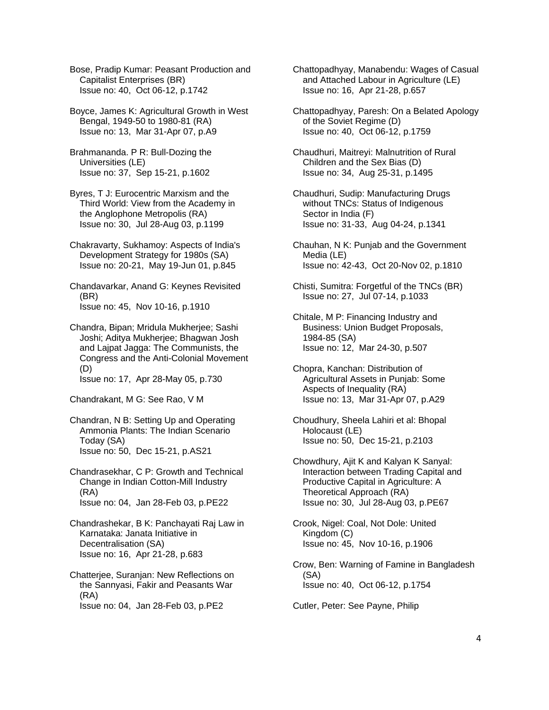Bose, Pradip Kumar: Peasant Production and Capitalist Enterprises (BR) Issue no: 40, Oct 06-12, p.1742

 Boyce, James K: Agricultural Growth in West Bengal, 1949-50 to 1980-81 (RA) Issue no: 13, Mar 31-Apr 07, p.A9

 Brahmananda. P R: Bull-Dozing the Universities (LE) Issue no: 37, Sep 15-21, p.1602

 Byres, T J: Eurocentric Marxism and the Third World: View from the Academy in the Anglophone Metropolis (RA) Issue no: 30, Jul 28-Aug 03, p.1199

 Chakravarty, Sukhamoy: Aspects of India's Development Strategy for 1980s (SA) Issue no: 20-21, May 19-Jun 01, p.845

 Chandavarkar, Anand G: Keynes Revisited (BR) Issue no: 45, Nov 10-16, p.1910

 Chandra, Bipan; Mridula Mukherjee; Sashi Joshi; Aditya Mukherjee; Bhagwan Josh and Lajpat Jagga: The Communists, the Congress and the Anti-Colonial Movement (D)

Issue no: 17, Apr 28-May 05, p.730

Chandrakant, M G: See Rao, V M

 Chandran, N B: Setting Up and Operating Ammonia Plants: The Indian Scenario Today (SA) Issue no: 50, Dec 15-21, p.AS21

 Chandrasekhar, C P: Growth and Technical Change in Indian Cotton-Mill Industry (RA) Issue no: 04, Jan 28-Feb 03, p.PE22

 Chandrashekar, B K: Panchayati Raj Law in Karnataka: Janata Initiative in Decentralisation (SA) Issue no: 16, Apr 21-28, p.683

 Chatterjee, Suranjan: New Reflections on the Sannyasi, Fakir and Peasants War (RA) Issue no: 04, Jan 28-Feb 03, p.PE2

 Chattopadhyay, Manabendu: Wages of Casual and Attached Labour in Agriculture (LE) Issue no: 16, Apr 21-28, p.657

 Chattopadhyay, Paresh: On a Belated Apology of the Soviet Regime (D) Issue no: 40, Oct 06-12, p.1759

 Chaudhuri, Maitreyi: Malnutrition of Rural Children and the Sex Bias (D) Issue no: 34, Aug 25-31, p.1495

 Chaudhuri, Sudip: Manufacturing Drugs without TNCs: Status of Indigenous Sector in India (F) Issue no: 31-33, Aug 04-24, p.1341

 Chauhan, N K: Punjab and the Government Media (LE) Issue no: 42-43, Oct 20-Nov 02, p.1810

 Chisti, Sumitra: Forgetful of the TNCs (BR) Issue no: 27, Jul 07-14, p.1033

 Chitale, M P: Financing Industry and Business: Union Budget Proposals, 1984-85 (SA) Issue no: 12, Mar 24-30, p.507

 Chopra, Kanchan: Distribution of Agricultural Assets in Punjab: Some Aspects of Inequality (RA) Issue no: 13, Mar 31-Apr 07, p.A29

 Choudhury, Sheela Lahiri et al: Bhopal Holocaust (LE) Issue no: 50, Dec 15-21, p.2103

 Chowdhury, Ajit K and Kalyan K Sanyal: Interaction between Trading Capital and Productive Capital in Agriculture: A Theoretical Approach (RA) Issue no: 30, Jul 28-Aug 03, p.PE67

 Crook, Nigel: Coal, Not Dole: United Kingdom (C) Issue no: 45, Nov 10-16, p.1906

 Crow, Ben: Warning of Famine in Bangladesh (SA) Issue no: 40, Oct 06-12, p.1754

Cutler, Peter: See Payne, Philip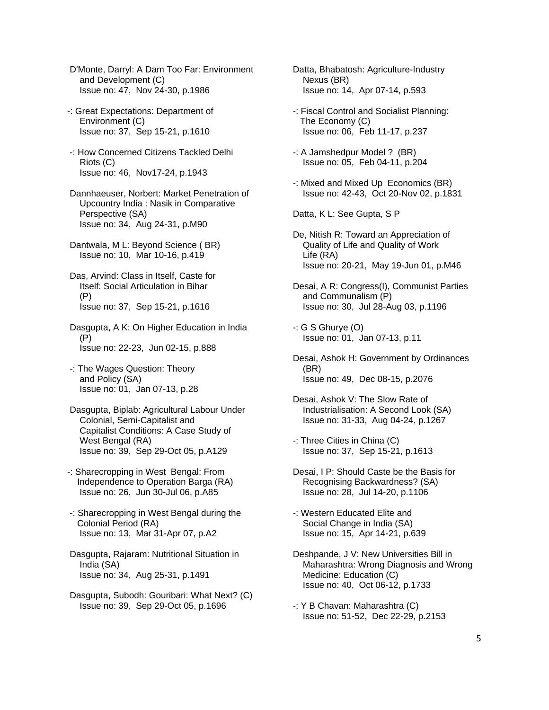D'Monte, Darryl: A Dam Too Far: Environment and Development (C) Issue no: 47, Nov 24-30, p.1986

- -: Great Expectations: Department of Environment (C) Issue no: 37, Sep 15-21, p.1610
- -: How Concerned Citizens Tackled Delhi Riots (C) Issue no: 46, Nov17-24, p.1943
- Dannhaeuser, Norbert: Market Penetration of Upcountry India : Nasik in Comparative Perspective (SA) Issue no: 34, Aug 24-31, p.M90
- Dantwala, M L: Beyond Science ( BR) Issue no: 10, Mar 10-16, p.419
- Das, Arvind: Class in Itself, Caste for Itself: Social Articulation in Bihar (P) Issue no: 37, Sep 15-21, p.1616
- Dasgupta, A K: On Higher Education in India (P) Issue no: 22-23, Jun 02-15, p.888
- -: The Wages Question: Theory and Policy (SA) Issue no: 01, Jan 07-13, p.28
- Dasgupta, Biplab: Agricultural Labour Under Colonial, Semi-Capitalist and Capitalist Conditions: A Case Study of West Bengal (RA) Issue no: 39, Sep 29-Oct 05, p.A129
- -: Sharecropping in West Bengal: From Independence to Operation Barga (RA) Issue no: 26, Jun 30-Jul 06, p.A85
- -: Sharecropping in West Bengal during the Colonial Period (RA) Issue no: 13, Mar 31-Apr 07, p.A2
- Dasgupta, Rajaram: Nutritional Situation in India (SA) Issue no: 34, Aug 25-31, p.1491
- Dasgupta, Subodh: Gouribari: What Next? (C) Issue no: 39, Sep 29-Oct 05, p.1696
- Datta, Bhabatosh: Agriculture-Industry Nexus (BR) Issue no: 14, Apr 07-14, p.593
- -: Fiscal Control and Socialist Planning: The Economy (C) Issue no: 06, Feb 11-17, p.237
- -: A Jamshedpur Model ? (BR) Issue no: 05, Feb 04-11, p.204
- -: Mixed and Mixed Up Economics (BR) Issue no: 42-43, Oct 20-Nov 02, p.1831
- Datta, K L: See Gupta, S P
- De, Nitish R: Toward an Appreciation of Quality of Life and Quality of Work Life (RA) Issue no: 20-21, May 19-Jun 01, p.M46
- Desai, A R: Congress(I), Communist Parties and Communalism (P) Issue no: 30, Jul 28-Aug 03, p.1196
- -: G S Ghurye (O) Issue no: 01, Jan 07-13, p.11
- Desai, Ashok H: Government by Ordinances (BR) Issue no: 49, Dec 08-15, p.2076
- Desai, Ashok V: The Slow Rate of Industrialisation: A Second Look (SA) Issue no: 31-33, Aug 04-24, p.1267
- -: Three Cities in China (C) Issue no: 37, Sep 15-21, p.1613
- Desai, I P: Should Caste be the Basis for Recognising Backwardness? (SA) Issue no: 28, Jul 14-20, p.1106
- -: Western Educated Elite and Social Change in India (SA) Issue no: 15, Apr 14-21, p.639
- Deshpande, J V: New Universities Bill in Maharashtra: Wrong Diagnosis and Wrong Medicine: Education (C) Issue no: 40, Oct 06-12, p.1733
- -: Y B Chavan: Maharashtra (C) Issue no: 51-52, Dec 22-29, p.2153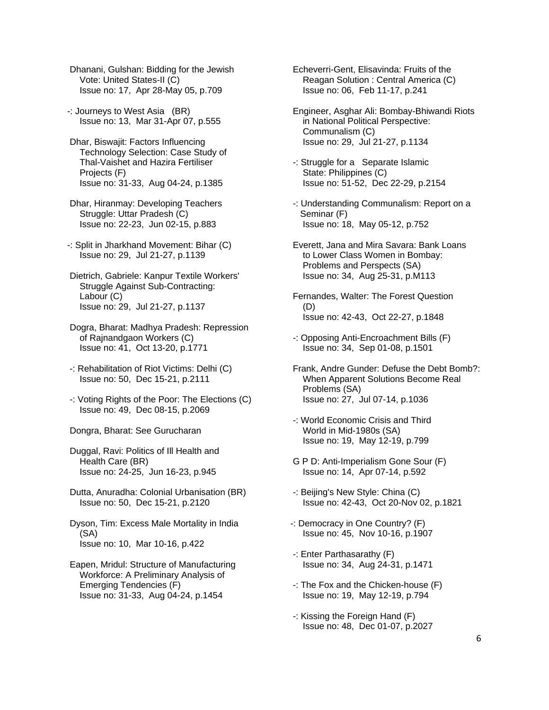Dhanani, Gulshan: Bidding for the Jewish Vote: United States-II (C) Issue no: 17, Apr 28-May 05, p.709

-: Journeys to West Asia (BR) Issue no: 13, Mar 31-Apr 07, p.555

 Dhar, Biswajit: Factors Influencing Technology Selection: Case Study of Thal-Vaishet and Hazira Fertiliser Projects (F) Issue no: 31-33, Aug 04-24, p.1385

 Dhar, Hiranmay: Developing Teachers Struggle: Uttar Pradesh (C) Issue no: 22-23, Jun 02-15, p.883

-: Split in Jharkhand Movement: Bihar (C) Issue no: 29, Jul 21-27, p.1139

 Dietrich, Gabriele: Kanpur Textile Workers' Struggle Against Sub-Contracting: Labour (C) Issue no: 29, Jul 21-27, p.1137

 Dogra, Bharat: Madhya Pradesh: Repression of Rajnandgaon Workers (C) Issue no: 41, Oct 13-20, p.1771

- -: Rehabilitation of Riot Victims: Delhi (C) Issue no: 50, Dec 15-21, p.2111
- -: Voting Rights of the Poor: The Elections (C) Issue no: 49, Dec 08-15, p.2069

Dongra, Bharat: See Gurucharan

 Duggal, Ravi: Politics of Ill Health and Health Care (BR) Issue no: 24-25, Jun 16-23, p.945

 Dutta, Anuradha: Colonial Urbanisation (BR) Issue no: 50, Dec 15-21, p.2120

 Dyson, Tim: Excess Male Mortality in India (SA) Issue no: 10, Mar 10-16, p.422

 Eapen, Mridul: Structure of Manufacturing Workforce: A Preliminary Analysis of Emerging Tendencies (F) Issue no: 31-33, Aug 04-24, p.1454

 Echeverri-Gent, Elisavinda: Fruits of the Reagan Solution : Central America (C) Issue no: 06, Feb 11-17, p.241

 Engineer, Asghar Ali: Bombay-Bhiwandi Riots in National Political Perspective: Communalism (C) Issue no: 29, Jul 21-27, p.1134

- -: Struggle for a Separate Islamic State: Philippines (C) Issue no: 51-52, Dec 22-29, p.2154
- -: Understanding Communalism: Report on a Seminar (F) Issue no: 18, May 05-12, p.752
- Everett, Jana and Mira Savara: Bank Loans to Lower Class Women in Bombay: Problems and Perspects (SA) Issue no: 34, Aug 25-31, p.M113
- Fernandes, Walter: The Forest Question (D) Issue no: 42-43, Oct 22-27, p.1848
- -: Opposing Anti-Encroachment Bills (F) Issue no: 34, Sep 01-08, p.1501
- Frank, Andre Gunder: Defuse the Debt Bomb?: When Apparent Solutions Become Real Problems (SA) Issue no: 27, Jul 07-14, p.1036
- -: World Economic Crisis and Third World in Mid-1980s (SA) Issue no: 19, May 12-19, p.799
- G P D: Anti-Imperialism Gone Sour (F) Issue no: 14, Apr 07-14, p.592
- -: Beijing's New Style: China (C) Issue no: 42-43, Oct 20-Nov 02, p.1821
- -: Democracy in One Country? (F) Issue no: 45, Nov 10-16, p.1907
- -: Enter Parthasarathy (F) Issue no: 34, Aug 24-31, p.1471
- -: The Fox and the Chicken-house (F) Issue no: 19, May 12-19, p.794
- -: Kissing the Foreign Hand (F) Issue no: 48, Dec 01-07, p.2027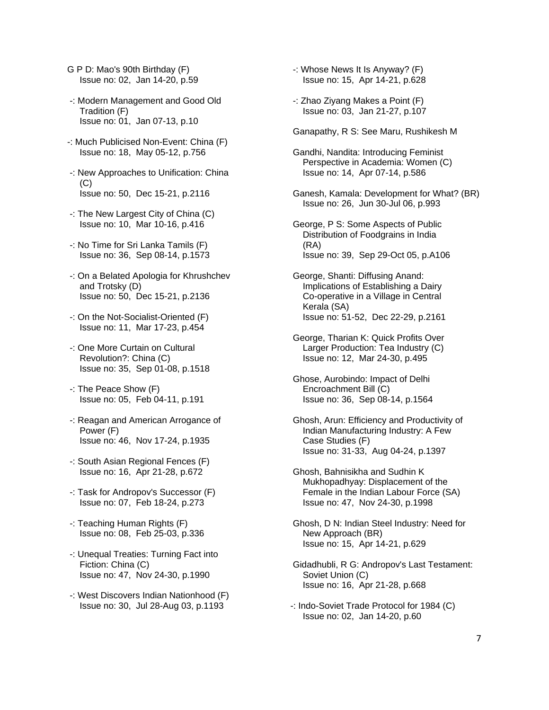- G P D: Mao's 90th Birthday (F) Issue no: 02, Jan 14-20, p.59
- -: Modern Management and Good Old Tradition (F) Issue no: 01, Jan 07-13, p.10
- -: Much Publicised Non-Event: China (F) Issue no: 18, May 05-12, p.756
- -: New Approaches to Unification: China (C) Issue no: 50, Dec 15-21, p.2116
- -: The New Largest City of China (C) Issue no: 10, Mar 10-16, p.416
- -: No Time for Sri Lanka Tamils (F) Issue no: 36, Sep 08-14, p.1573
- -: On a Belated Apologia for Khrushchev and Trotsky (D) Issue no: 50, Dec 15-21, p.2136
- -: On the Not-Socialist-Oriented (F) Issue no: 11, Mar 17-23, p.454
- -: One More Curtain on Cultural Revolution?: China (C) Issue no: 35, Sep 01-08, p.1518
- -: The Peace Show (F) Issue no: 05, Feb 04-11, p.191
- -: Reagan and American Arrogance of Power (F) Issue no: 46, Nov 17-24, p.1935
- -: South Asian Regional Fences (F) Issue no: 16, Apr 21-28, p.672
- -: Task for Andropov's Successor (F) Issue no: 07, Feb 18-24, p.273
- -: Teaching Human Rights (F) Issue no: 08, Feb 25-03, p.336
- -: Unequal Treaties: Turning Fact into Fiction: China (C) Issue no: 47, Nov 24-30, p.1990
- -: West Discovers Indian Nationhood (F) Issue no: 30, Jul 28-Aug 03, p.1193
- -: Whose News It Is Anyway? (F) Issue no: 15, Apr 14-21, p.628
- -: Zhao Ziyang Makes a Point (F) Issue no: 03, Jan 21-27, p.107
- Ganapathy, R S: See Maru, Rushikesh M
- Gandhi, Nandita: Introducing Feminist Perspective in Academia: Women (C) Issue no: 14, Apr 07-14, p.586
- Ganesh, Kamala: Development for What? (BR) Issue no: 26, Jun 30-Jul 06, p.993
- George, P S: Some Aspects of Public Distribution of Foodgrains in India (RA) Issue no: 39, Sep 29-Oct 05, p.A106
- George, Shanti: Diffusing Anand: Implications of Establishing a Dairy Co-operative in a Village in Central Kerala (SA) Issue no: 51-52, Dec 22-29, p.2161
- George, Tharian K: Quick Profits Over Larger Production: Tea Industry (C) Issue no: 12, Mar 24-30, p.495
- Ghose, Aurobindo: Impact of Delhi Encroachment Bill (C) Issue no: 36, Sep 08-14, p.1564
- Ghosh, Arun: Efficiency and Productivity of Indian Manufacturing Industry: A Few Case Studies (F) Issue no: 31-33, Aug 04-24, p.1397
- Ghosh, Bahnisikha and Sudhin K Mukhopadhyay: Displacement of the Female in the Indian Labour Force (SA) Issue no: 47, Nov 24-30, p.1998
- Ghosh, D N: Indian Steel Industry: Need for New Approach (BR) Issue no: 15, Apr 14-21, p.629
- Gidadhubli, R G: Andropov's Last Testament: Soviet Union (C) Issue no: 16, Apr 21-28, p.668
- -: Indo-Soviet Trade Protocol for 1984 (C) Issue no: 02, Jan 14-20, p.60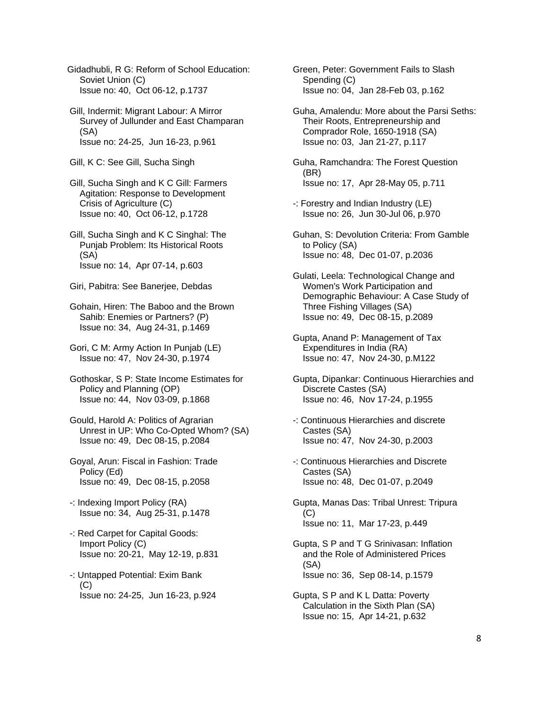Gidadhubli, R G: Reform of School Education: Soviet Union (C) Issue no: 40, Oct 06-12, p.1737

 Gill, Indermit: Migrant Labour: A Mirror Survey of Jullunder and East Champaran (SA) Issue no: 24-25, Jun 16-23, p.961

Gill, K C: See Gill, Sucha Singh

 Gill, Sucha Singh and K C Gill: Farmers Agitation: Response to Development Crisis of Agriculture (C) Issue no: 40, Oct 06-12, p.1728

 Gill, Sucha Singh and K C Singhal: The Punjab Problem: Its Historical Roots (SA) Issue no: 14, Apr 07-14, p.603

Giri, Pabitra: See Banerjee, Debdas

 Gohain, Hiren: The Baboo and the Brown Sahib: Enemies or Partners? (P) Issue no: 34, Aug 24-31, p.1469

 Gori, C M: Army Action In Punjab (LE) Issue no: 47, Nov 24-30, p.1974

 Gothoskar, S P: State Income Estimates for Policy and Planning (OP) Issue no: 44, Nov 03-09, p.1868

 Gould, Harold A: Politics of Agrarian Unrest in UP: Who Co-Opted Whom? (SA) Issue no: 49, Dec 08-15, p.2084

 Goyal, Arun: Fiscal in Fashion: Trade Policy (Ed) Issue no: 49, Dec 08-15, p.2058

 -: Indexing Import Policy (RA) Issue no: 34, Aug 25-31, p.1478

- -: Red Carpet for Capital Goods: Import Policy (C) Issue no: 20-21, May 12-19, p.831
- -: Untapped Potential: Exim Bank  $(C)$ Issue no: 24-25, Jun 16-23, p.924

 Green, Peter: Government Fails to Slash Spending (C) Issue no: 04, Jan 28-Feb 03, p.162

 Guha, Amalendu: More about the Parsi Seths: Their Roots, Entrepreneurship and Comprador Role, 1650-1918 (SA) Issue no: 03, Jan 21-27, p.117

 Guha, Ramchandra: The Forest Question (BR) Issue no: 17, Apr 28-May 05, p.711

- -: Forestry and Indian Industry (LE) Issue no: 26, Jun 30-Jul 06, p.970
- Guhan, S: Devolution Criteria: From Gamble to Policy (SA) Issue no: 48, Dec 01-07, p.2036

 Gulati, Leela: Technological Change and Women's Work Participation and Demographic Behaviour: A Case Study of Three Fishing Villages (SA) Issue no: 49, Dec 08-15, p.2089

 Gupta, Anand P: Management of Tax Expenditures in India (RA) Issue no: 47, Nov 24-30, p.M122

 Gupta, Dipankar: Continuous Hierarchies and Discrete Castes (SA) Issue no: 46, Nov 17-24, p.1955

 -: Continuous Hierarchies and discrete Castes (SA) Issue no: 47, Nov 24-30, p.2003

 -: Continuous Hierarchies and Discrete Castes (SA) Issue no: 48, Dec 01-07, p.2049

 Gupta, Manas Das: Tribal Unrest: Tripura (C) Issue no: 11, Mar 17-23, p.449

 Gupta, S P and T G Srinivasan: Inflation and the Role of Administered Prices (SA) Issue no: 36, Sep 08-14, p.1579

 Gupta, S P and K L Datta: Poverty Calculation in the Sixth Plan (SA) Issue no: 15, Apr 14-21, p.632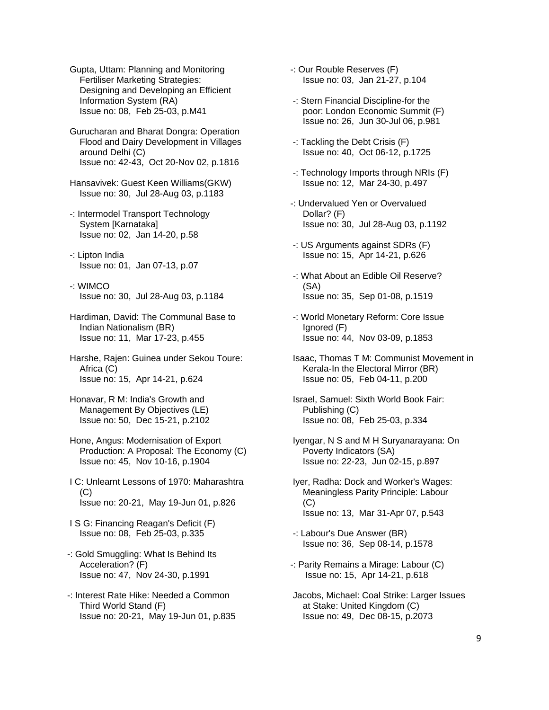- Gupta, Uttam: Planning and Monitoring Fertiliser Marketing Strategies: Designing and Developing an Efficient Information System (RA) Issue no: 08, Feb 25-03, p.M41
- Gurucharan and Bharat Dongra: Operation Flood and Dairy Development in Villages around Delhi (C) Issue no: 42-43, Oct 20-Nov 02, p.1816
- Hansavivek: Guest Keen Williams(GKW) Issue no: 30, Jul 28-Aug 03, p.1183
- -: Intermodel Transport Technology System [Karnataka] Issue no: 02, Jan 14-20, p.58
- -: Lipton India Issue no: 01, Jan 07-13, p.07
- -: WIMCO Issue no: 30, Jul 28-Aug 03, p.1184
- Hardiman, David: The Communal Base to Indian Nationalism (BR) Issue no: 11, Mar 17-23, p.455
- Harshe, Rajen: Guinea under Sekou Toure: Africa (C) Issue no: 15, Apr 14-21, p.624
- Honavar, R M: India's Growth and Management By Objectives (LE) Issue no: 50, Dec 15-21, p.2102
- Hone, Angus: Modernisation of Export Production: A Proposal: The Economy (C) Issue no: 45, Nov 10-16, p.1904
- I C: Unlearnt Lessons of 1970: Maharashtra (C) Issue no: 20-21, May 19-Jun 01, p.826
- I S G: Financing Reagan's Deficit (F) Issue no: 08, Feb 25-03, p.335
- -: Gold Smuggling: What Is Behind Its Acceleration? (F) Issue no: 47, Nov 24-30, p.1991
- -: Interest Rate Hike: Needed a Common Third World Stand (F) Issue no: 20-21, May 19-Jun 01, p.835
- -: Our Rouble Reserves (F) Issue no: 03, Jan 21-27, p.104
- -: Stern Financial Discipline-for the poor: London Economic Summit (F) Issue no: 26, Jun 30-Jul 06, p.981
- -: Tackling the Debt Crisis (F) Issue no: 40, Oct 06-12, p.1725
- -: Technology Imports through NRIs (F) Issue no: 12, Mar 24-30, p.497
- -: Undervalued Yen or Overvalued Dollar? (F) Issue no: 30, Jul 28-Aug 03, p.1192
- -: US Arguments against SDRs (F) Issue no: 15, Apr 14-21, p.626
- -: What About an Edible Oil Reserve? (SA) Issue no: 35, Sep 01-08, p.1519
- -: World Monetary Reform: Core Issue Ignored (F) Issue no: 44, Nov 03-09, p.1853
- Isaac, Thomas T M: Communist Movement in Kerala-In the Electoral Mirror (BR) Issue no: 05, Feb 04-11, p.200
- Israel, Samuel: Sixth World Book Fair: Publishing (C) Issue no: 08, Feb 25-03, p.334
- Iyengar, N S and M H Suryanarayana: On Poverty Indicators (SA) Issue no: 22-23, Jun 02-15, p.897
- Iyer, Radha: Dock and Worker's Wages: Meaningless Parity Principle: Labour (C) Issue no: 13, Mar 31-Apr 07, p.543
- -: Labour's Due Answer (BR) Issue no: 36, Sep 08-14, p.1578
- -: Parity Remains a Mirage: Labour (C) Issue no: 15, Apr 14-21, p.618
- Jacobs, Michael: Coal Strike: Larger Issues at Stake: United Kingdom (C) Issue no: 49, Dec 08-15, p.2073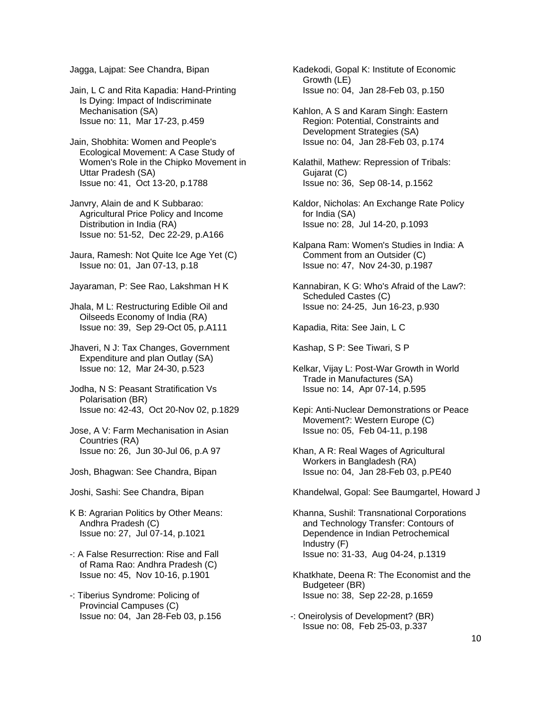Jagga, Lajpat: See Chandra, Bipan

 Jain, L C and Rita Kapadia: Hand-Printing Is Dying: Impact of Indiscriminate Mechanisation (SA) Issue no: 11, Mar 17-23, p.459

 Jain, Shobhita: Women and People's Ecological Movement: A Case Study of Women's Role in the Chipko Movement in Uttar Pradesh (SA) Issue no: 41, Oct 13-20, p.1788

 Janvry, Alain de and K Subbarao: Agricultural Price Policy and Income Distribution in India (RA) Issue no: 51-52, Dec 22-29, p.A166

 Jaura, Ramesh: Not Quite Ice Age Yet (C) Issue no: 01, Jan 07-13, p.18

Jayaraman, P: See Rao, Lakshman H K

 Jhala, M L: Restructuring Edible Oil and Oilseeds Economy of India (RA) Issue no: 39, Sep 29-Oct 05, p.A111

 Jhaveri, N J: Tax Changes, Government Expenditure and plan Outlay (SA) Issue no: 12, Mar 24-30, p.523

 Jodha, N S: Peasant Stratification Vs Polarisation (BR) Issue no: 42-43, Oct 20-Nov 02, p.1829

 Jose, A V: Farm Mechanisation in Asian Countries (RA) Issue no: 26, Jun 30-Jul 06, p.A 97

Josh, Bhagwan: See Chandra, Bipan

Joshi, Sashi: See Chandra, Bipan

 K B: Agrarian Politics by Other Means: Andhra Pradesh (C) Issue no: 27, Jul 07-14, p.1021

 -: A False Resurrection: Rise and Fall of Rama Rao: Andhra Pradesh (C) Issue no: 45, Nov 10-16, p.1901

 -: Tiberius Syndrome: Policing of Provincial Campuses (C) Issue no: 04, Jan 28-Feb 03, p.156  Kadekodi, Gopal K: Institute of Economic Growth (LE) Issue no: 04, Jan 28-Feb 03, p.150

 Kahlon, A S and Karam Singh: Eastern Region: Potential, Constraints and Development Strategies (SA) Issue no: 04, Jan 28-Feb 03, p.174

 Kalathil, Mathew: Repression of Tribals: Gujarat (C) Issue no: 36, Sep 08-14, p.1562

 Kaldor, Nicholas: An Exchange Rate Policy for India (SA) Issue no: 28, Jul 14-20, p.1093

 Kalpana Ram: Women's Studies in India: A Comment from an Outsider (C) Issue no: 47, Nov 24-30, p.1987

 Kannabiran, K G: Who's Afraid of the Law?: Scheduled Castes (C) Issue no: 24-25, Jun 16-23, p.930

Kapadia, Rita: See Jain, L C

Kashap, S P: See Tiwari, S P

 Kelkar, Vijay L: Post-War Growth in World Trade in Manufactures (SA) Issue no: 14, Apr 07-14, p.595

 Kepi: Anti-Nuclear Demonstrations or Peace Movement?: Western Europe (C) Issue no: 05, Feb 04-11, p.198

 Khan, A R: Real Wages of Agricultural Workers in Bangladesh (RA) Issue no: 04, Jan 28-Feb 03, p.PE40

Khandelwal, Gopal: See Baumgartel, Howard J

 Khanna, Sushil: Transnational Corporations and Technology Transfer: Contours of Dependence in Indian Petrochemical Industry (F) Issue no: 31-33, Aug 04-24, p.1319

Khatkhate, Deena R: The Economist and the Budgeteer (BR) Issue no: 38, Sep 22-28, p.1659

-: Oneirolysis of Development? (BR) Issue no: 08, Feb 25-03, p.337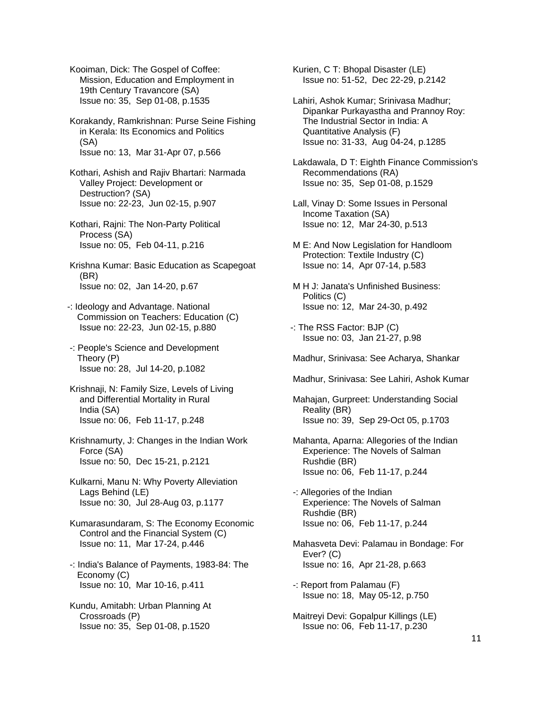Kooiman, Dick: The Gospel of Coffee: Mission, Education and Employment in 19th Century Travancore (SA) Issue no: 35, Sep 01-08, p.1535

 Korakandy, Ramkrishnan: Purse Seine Fishing in Kerala: Its Economics and Politics (SA) Issue no: 13, Mar 31-Apr 07, p.566

 Kothari, Ashish and Rajiv Bhartari: Narmada Valley Project: Development or Destruction? (SA) Issue no: 22-23, Jun 02-15, p.907

 Kothari, Rajni: The Non-Party Political Process (SA) Issue no: 05, Feb 04-11, p.216

 Krishna Kumar: Basic Education as Scapegoat (BR) Issue no: 02, Jan 14-20, p.67

-: Ideology and Advantage. National Commission on Teachers: Education (C) Issue no: 22-23, Jun 02-15, p.880

 -: People's Science and Development Theory (P) Issue no: 28, Jul 14-20, p.1082

- Krishnaji, N: Family Size, Levels of Living and Differential Mortality in Rural India (SA) Issue no: 06, Feb 11-17, p.248
- Krishnamurty, J: Changes in the Indian Work Force (SA) Issue no: 50, Dec 15-21, p.2121

 Kulkarni, Manu N: Why Poverty Alleviation Lags Behind (LE) Issue no: 30, Jul 28-Aug 03, p.1177

 Kumarasundaram, S: The Economy Economic Control and the Financial System (C) Issue no: 11, Mar 17-24, p.446

 -: India's Balance of Payments, 1983-84: The Economy (C) Issue no: 10, Mar 10-16, p.411

 Kundu, Amitabh: Urban Planning At Crossroads (P) Issue no: 35, Sep 01-08, p.1520

 Kurien, C T: Bhopal Disaster (LE) Issue no: 51-52, Dec 22-29, p.2142

 Lahiri, Ashok Kumar; Srinivasa Madhur; Dipankar Purkayastha and Prannoy Roy: The Industrial Sector in India: A Quantitative Analysis (F) Issue no: 31-33, Aug 04-24, p.1285

 Lakdawala, D T: Eighth Finance Commission's Recommendations (RA) Issue no: 35, Sep 01-08, p.1529

- Lall, Vinay D: Some Issues in Personal Income Taxation (SA) Issue no: 12, Mar 24-30, p.513
- M E: And Now Legislation for Handloom Protection: Textile Industry (C) Issue no: 14, Apr 07-14, p.583
- M H J: Janata's Unfinished Business: Politics (C) Issue no: 12, Mar 24-30, p.492
- -: The RSS Factor: BJP (C) Issue no: 03, Jan 21-27, p.98

Madhur, Srinivasa: See Acharya, Shankar

Madhur, Srinivasa: See Lahiri, Ashok Kumar

 Mahajan, Gurpreet: Understanding Social Reality (BR) Issue no: 39, Sep 29-Oct 05, p.1703

- Mahanta, Aparna: Allegories of the Indian Experience: The Novels of Salman Rushdie (BR) Issue no: 06, Feb 11-17, p.244
- -: Allegories of the Indian Experience: The Novels of Salman Rushdie (BR) Issue no: 06, Feb 11-17, p.244
- Mahasveta Devi: Palamau in Bondage: For Ever? (C) Issue no: 16, Apr 21-28, p.663
- -: Report from Palamau (F) Issue no: 18, May 05-12, p.750
- Maitreyi Devi: Gopalpur Killings (LE) Issue no: 06, Feb 11-17, p.230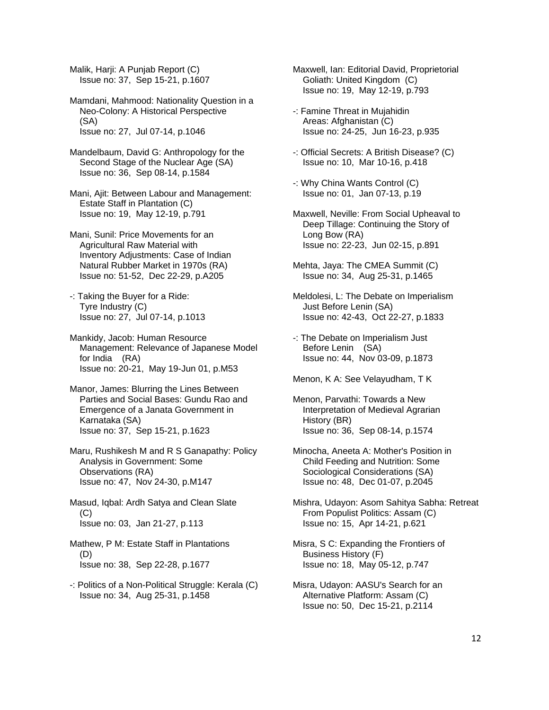Malik, Harji: A Punjab Report (C) Issue no: 37, Sep 15-21, p.1607

 Mamdani, Mahmood: Nationality Question in a Neo-Colony: A Historical Perspective (SA) Issue no: 27, Jul 07-14, p.1046

- Mandelbaum, David G: Anthropology for the Second Stage of the Nuclear Age (SA) Issue no: 36, Sep 08-14, p.1584
- Mani, Ajit: Between Labour and Management: Estate Staff in Plantation (C) Issue no: 19, May 12-19, p.791
- Mani, Sunil: Price Movements for an Agricultural Raw Material with Inventory Adjustments: Case of Indian Natural Rubber Market in 1970s (RA) Issue no: 51-52, Dec 22-29, p.A205
- -: Taking the Buyer for a Ride: Tyre Industry (C) Issue no: 27, Jul 07-14, p.1013
- Mankidy, Jacob: Human Resource Management: Relevance of Japanese Model for India (RA) Issue no: 20-21, May 19-Jun 01, p.M53
- Manor, James: Blurring the Lines Between Parties and Social Bases: Gundu Rao and Emergence of a Janata Government in Karnataka (SA) Issue no: 37, Sep 15-21, p.1623
- Maru, Rushikesh M and R S Ganapathy: Policy Analysis in Government: Some Observations (RA) Issue no: 47, Nov 24-30, p.M147
- Masud, Iqbal: Ardh Satya and Clean Slate (C) Issue no: 03, Jan 21-27, p.113
- Mathew, P M: Estate Staff in Plantations (D) Issue no: 38, Sep 22-28, p.1677
- -: Politics of a Non-Political Struggle: Kerala (C) Issue no: 34, Aug 25-31, p.1458
- Maxwell, Ian: Editorial David, Proprietorial Goliath: United Kingdom (C) Issue no: 19, May 12-19, p.793
- -: Famine Threat in Mujahidin Areas: Afghanistan (C) Issue no: 24-25, Jun 16-23, p.935
- -: Official Secrets: A British Disease? (C) Issue no: 10, Mar 10-16, p.418
- -: Why China Wants Control (C) Issue no: 01, Jan 07-13, p.19
- Maxwell, Neville: From Social Upheaval to Deep Tillage: Continuing the Story of Long Bow (RA) Issue no: 22-23, Jun 02-15, p.891
- Mehta, Jaya: The CMEA Summit (C) Issue no: 34, Aug 25-31, p.1465
- Meldolesi, L: The Debate on Imperialism Just Before Lenin (SA) Issue no: 42-43, Oct 22-27, p.1833
- -: The Debate on Imperialism Just Before Lenin (SA) Issue no: 44, Nov 03-09, p.1873
- Menon, K A: See Velayudham, T K
- Menon, Parvathi: Towards a New Interpretation of Medieval Agrarian History (BR) Issue no: 36, Sep 08-14, p.1574
- Minocha, Aneeta A: Mother's Position in Child Feeding and Nutrition: Some Sociological Considerations (SA) Issue no: 48, Dec 01-07, p.2045
- Mishra, Udayon: Asom Sahitya Sabha: Retreat From Populist Politics: Assam (C) Issue no: 15, Apr 14-21, p.621
- Misra, S C: Expanding the Frontiers of Business History (F) Issue no: 18, May 05-12, p.747
- Misra, Udayon: AASU's Search for an Alternative Platform: Assam (C) Issue no: 50, Dec 15-21, p.2114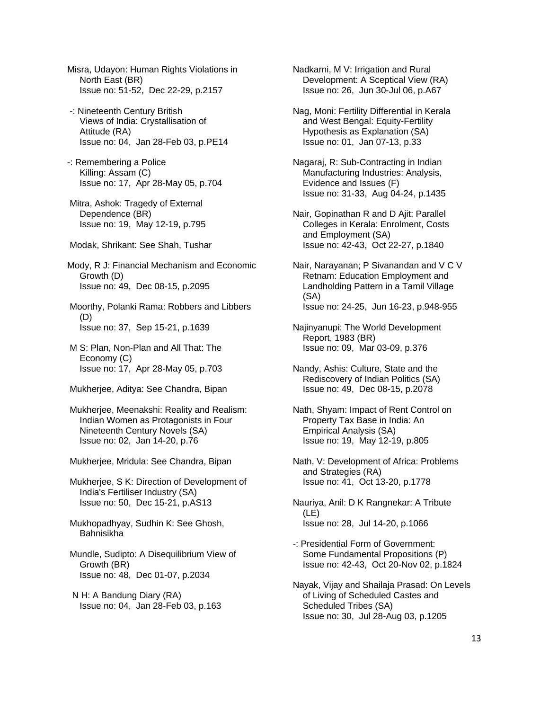Misra, Udayon: Human Rights Violations in North East (BR) Issue no: 51-52, Dec 22-29, p.2157

- -: Nineteenth Century British Views of India: Crystallisation of Attitude (RA) Issue no: 04, Jan 28-Feb 03, p.PE14
- -: Remembering a Police Killing: Assam (C) Issue no: 17, Apr 28-May 05, p.704
- Mitra, Ashok: Tragedy of External Dependence (BR) Issue no: 19, May 12-19, p.795
- Modak, Shrikant: See Shah, Tushar

Mody, R J: Financial Mechanism and Economic Growth (D) Issue no: 49, Dec 08-15, p.2095

 Moorthy, Polanki Rama: Robbers and Libbers (D) Issue no: 37, Sep 15-21, p.1639

- M S: Plan, Non-Plan and All That: The Economy (C) Issue no: 17, Apr 28-May 05, p.703
- Mukherjee, Aditya: See Chandra, Bipan
- Mukherjee, Meenakshi: Reality and Realism: Indian Women as Protagonists in Four Nineteenth Century Novels (SA) Issue no: 02, Jan 14-20, p.76
- Mukherjee, Mridula: See Chandra, Bipan

 Mukherjee, S K: Direction of Development of India's Fertiliser Industry (SA) Issue no: 50, Dec 15-21, p.AS13

 Mukhopadhyay, Sudhin K: See Ghosh, Bahnisikha

 Mundle, Sudipto: A Disequilibrium View of Growth (BR) Issue no: 48, Dec 01-07, p.2034

 N H: A Bandung Diary (RA) Issue no: 04, Jan 28-Feb 03, p.163  Nadkarni, M V: Irrigation and Rural Development: A Sceptical View (RA) Issue no: 26, Jun 30-Jul 06, p.A67

- Nag, Moni: Fertility Differential in Kerala and West Bengal: Equity-Fertility Hypothesis as Explanation (SA) Issue no: 01, Jan 07-13, p.33
- Nagaraj, R: Sub-Contracting in Indian Manufacturing Industries: Analysis, Evidence and Issues (F) Issue no: 31-33, Aug 04-24, p.1435
- Nair, Gopinathan R and D Ajit: Parallel Colleges in Kerala: Enrolment, Costs and Employment (SA) Issue no: 42-43, Oct 22-27, p.1840
- Nair, Narayanan; P Sivanandan and V C V Retnam: Education Employment and Landholding Pattern in a Tamil Village (SA) Issue no: 24-25, Jun 16-23, p.948-955
- Najinyanupi: The World Development Report, 1983 (BR) Issue no: 09, Mar 03-09, p.376
- Nandy, Ashis: Culture, State and the Rediscovery of Indian Politics (SA) Issue no: 49, Dec 08-15, p.2078
- Nath, Shyam: Impact of Rent Control on Property Tax Base in India: An Empirical Analysis (SA) Issue no: 19, May 12-19, p.805
- Nath, V: Development of Africa: Problems and Strategies (RA) Issue no: 41, Oct 13-20, p.1778
- Nauriya, Anil: D K Rangnekar: A Tribute (LE) Issue no: 28, Jul 14-20, p.1066
- -: Presidential Form of Government: Some Fundamental Propositions (P) Issue no: 42-43, Oct 20-Nov 02, p.1824
- Nayak, Vijay and Shailaja Prasad: On Levels of Living of Scheduled Castes and Scheduled Tribes (SA) Issue no: 30, Jul 28-Aug 03, p.1205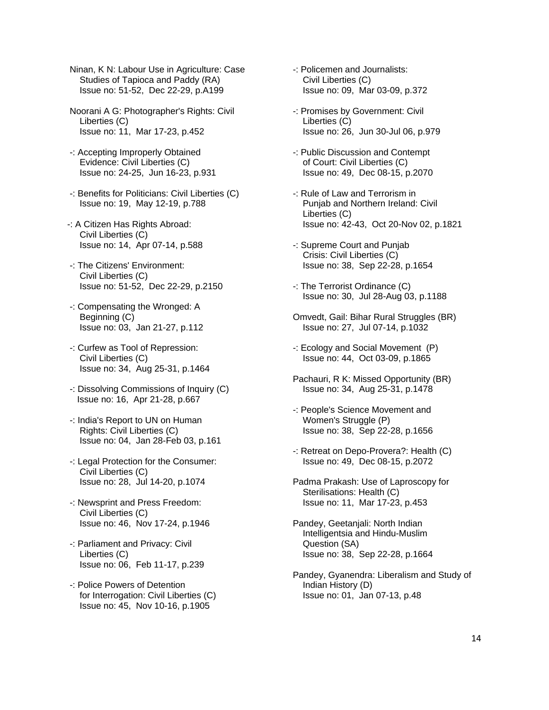Ninan, K N: Labour Use in Agriculture: Case Studies of Tapioca and Paddy (RA) Issue no: 51-52, Dec 22-29, p.A199

 Noorani A G: Photographer's Rights: Civil Liberties (C) Issue no: 11, Mar 17-23, p.452

- -: Accepting Improperly Obtained Evidence: Civil Liberties (C) Issue no: 24-25, Jun 16-23, p.931
- -: Benefits for Politicians: Civil Liberties (C) Issue no: 19, May 12-19, p.788
- -: A Citizen Has Rights Abroad: Civil Liberties (C) Issue no: 14, Apr 07-14, p.588
- -: The Citizens' Environment: Civil Liberties (C) Issue no: 51-52, Dec 22-29, p.2150
- -: Compensating the Wronged: A Beginning (C) Issue no: 03, Jan 21-27, p.112
- -: Curfew as Tool of Repression: Civil Liberties (C) Issue no: 34, Aug 25-31, p.1464
- -: Dissolving Commissions of Inquiry (C) Issue no: 16, Apr 21-28, p.667
- -: India's Report to UN on Human Rights: Civil Liberties (C) Issue no: 04, Jan 28-Feb 03, p.161
- -: Legal Protection for the Consumer: Civil Liberties (C) Issue no: 28, Jul 14-20, p.1074
- -: Newsprint and Press Freedom: Civil Liberties (C) Issue no: 46, Nov 17-24, p.1946
- -: Parliament and Privacy: Civil Liberties (C) Issue no: 06, Feb 11-17, p.239
- -: Police Powers of Detention for Interrogation: Civil Liberties (C) Issue no: 45, Nov 10-16, p.1905
- -: Policemen and Journalists: Civil Liberties (C) Issue no: 09, Mar 03-09, p.372
- -: Promises by Government: Civil Liberties (C) Issue no: 26, Jun 30-Jul 06, p.979
- -: Public Discussion and Contempt of Court: Civil Liberties (C) Issue no: 49, Dec 08-15, p.2070
- -: Rule of Law and Terrorism in Punjab and Northern Ireland: Civil Liberties (C) Issue no: 42-43, Oct 20-Nov 02, p.1821
- -: Supreme Court and Punjab Crisis: Civil Liberties (C) Issue no: 38, Sep 22-28, p.1654
- -: The Terrorist Ordinance (C) Issue no: 30, Jul 28-Aug 03, p.1188
- Omvedt, Gail: Bihar Rural Struggles (BR) Issue no: 27, Jul 07-14, p.1032
- -: Ecology and Social Movement (P) Issue no: 44, Oct 03-09, p.1865
- Pachauri, R K: Missed Opportunity (BR) Issue no: 34, Aug 25-31, p.1478
- -: People's Science Movement and Women's Struggle (P) Issue no: 38, Sep 22-28, p.1656
- -: Retreat on Depo-Provera?: Health (C) Issue no: 49, Dec 08-15, p.2072
- Padma Prakash: Use of Laproscopy for Sterilisations: Health (C) Issue no: 11, Mar 17-23, p.453
- Pandey, Geetanjali: North Indian Intelligentsia and Hindu-Muslim Question (SA) Issue no: 38, Sep 22-28, p.1664
- Pandey, Gyanendra: Liberalism and Study of Indian History (D) Issue no: 01, Jan 07-13, p.48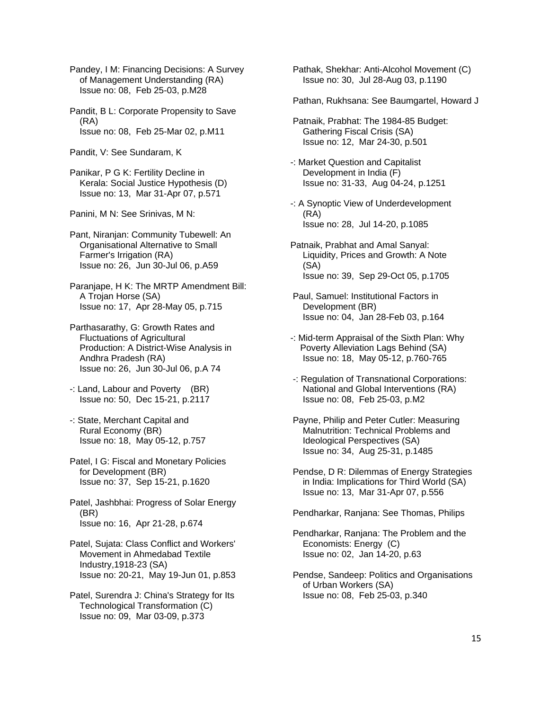Pandey, I M: Financing Decisions: A Survey of Management Understanding (RA) Issue no: 08, Feb 25-03, p.M28

 Pandit, B L: Corporate Propensity to Save (RA) Issue no: 08, Feb 25-Mar 02, p.M11

Pandit, V: See Sundaram, K

 Panikar, P G K: Fertility Decline in Kerala: Social Justice Hypothesis (D) Issue no: 13, Mar 31-Apr 07, p.571

Panini, M N: See Srinivas, M N:

 Pant, Niranjan: Community Tubewell: An Organisational Alternative to Small Farmer's Irrigation (RA) Issue no: 26, Jun 30-Jul 06, p.A59

 Paranjape, H K: The MRTP Amendment Bill: A Trojan Horse (SA) Issue no: 17, Apr 28-May 05, p.715

 Parthasarathy, G: Growth Rates and Fluctuations of Agricultural Production: A District-Wise Analysis in Andhra Pradesh (RA) Issue no: 26, Jun 30-Jul 06, p.A 74

- -: Land, Labour and Poverty (BR) Issue no: 50, Dec 15-21, p.2117
- -: State, Merchant Capital and Rural Economy (BR) Issue no: 18, May 05-12, p.757
- Patel, I G: Fiscal and Monetary Policies for Development (BR) Issue no: 37, Sep 15-21, p.1620

 Patel, Jashbhai: Progress of Solar Energy (BR) Issue no: 16, Apr 21-28, p.674

 Patel, Sujata: Class Conflict and Workers' Movement in Ahmedabad Textile Industry,1918-23 (SA) Issue no: 20-21, May 19-Jun 01, p.853

 Patel, Surendra J: China's Strategy for Its Technological Transformation (C) Issue no: 09, Mar 03-09, p.373

 Pathak, Shekhar: Anti-Alcohol Movement (C) Issue no: 30, Jul 28-Aug 03, p.1190

Pathan, Rukhsana: See Baumgartel, Howard J

- Patnaik, Prabhat: The 1984-85 Budget: Gathering Fiscal Crisis (SA) Issue no: 12, Mar 24-30, p.501
- -: Market Question and Capitalist Development in India (F) Issue no: 31-33, Aug 04-24, p.1251
- -: A Synoptic View of Underdevelopment (RA) Issue no: 28, Jul 14-20, p.1085
- Patnaik, Prabhat and Amal Sanyal: Liquidity, Prices and Growth: A Note (SA) Issue no: 39, Sep 29-Oct 05, p.1705
- Paul, Samuel: Institutional Factors in Development (BR) Issue no: 04, Jan 28-Feb 03, p.164
- -: Mid-term Appraisal of the Sixth Plan: Why Poverty Alleviation Lags Behind (SA) Issue no: 18, May 05-12, p.760-765
- -: Regulation of Transnational Corporations: National and Global Interventions (RA) Issue no: 08, Feb 25-03, p.M2
- Payne, Philip and Peter Cutler: Measuring Malnutrition: Technical Problems and Ideological Perspectives (SA) Issue no: 34, Aug 25-31, p.1485
- Pendse, D R: Dilemmas of Energy Strategies in India: Implications for Third World (SA) Issue no: 13, Mar 31-Apr 07, p.556

Pendharkar, Ranjana: See Thomas, Philips

- Pendharkar, Ranjana: The Problem and the Economists: Energy (C) Issue no: 02, Jan 14-20, p.63
- Pendse, Sandeep: Politics and Organisations of Urban Workers (SA) Issue no: 08, Feb 25-03, p.340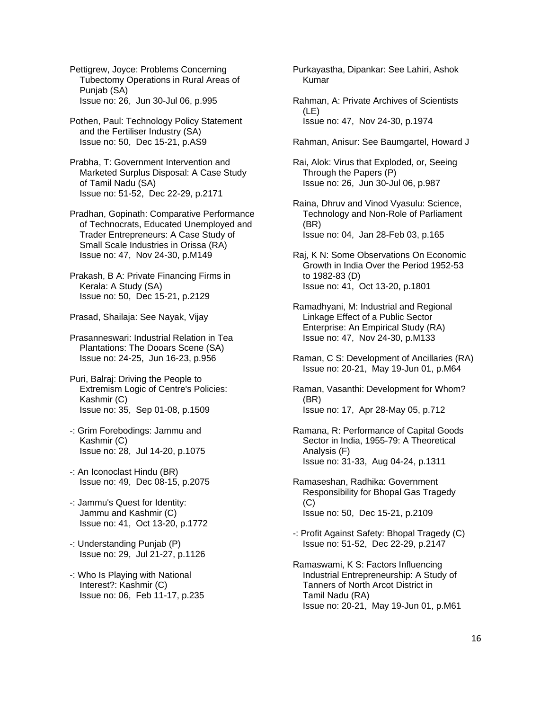Pettigrew, Joyce: Problems Concerning Tubectomy Operations in Rural Areas of Punjab (SA) Issue no: 26, Jun 30-Jul 06, p.995

 Pothen, Paul: Technology Policy Statement and the Fertiliser Industry (SA) Issue no: 50, Dec 15-21, p.AS9

 Prabha, T: Government Intervention and Marketed Surplus Disposal: A Case Study of Tamil Nadu (SA) Issue no: 51-52, Dec 22-29, p.2171

 Pradhan, Gopinath: Comparative Performance of Technocrats, Educated Unemployed and Trader Entrepreneurs: A Case Study of Small Scale Industries in Orissa (RA) Issue no: 47, Nov 24-30, p.M149

 Prakash, B A: Private Financing Firms in Kerala: A Study (SA) Issue no: 50, Dec 15-21, p.2129

Prasad, Shailaja: See Nayak, Vijay

 Prasanneswari: Industrial Relation in Tea Plantations: The Dooars Scene (SA) Issue no: 24-25, Jun 16-23, p.956

 Puri, Balraj: Driving the People to Extremism Logic of Centre's Policies: Kashmir (C) Issue no: 35, Sep 01-08, p.1509

- -: Grim Forebodings: Jammu and Kashmir (C) Issue no: 28, Jul 14-20, p.1075
- -: An Iconoclast Hindu (BR) Issue no: 49, Dec 08-15, p.2075
- -: Jammu's Quest for Identity: Jammu and Kashmir (C) Issue no: 41, Oct 13-20, p.1772
- -: Understanding Punjab (P) Issue no: 29, Jul 21-27, p.1126
- -: Who Is Playing with National Interest?: Kashmir (C) Issue no: 06, Feb 11-17, p.235

 Purkayastha, Dipankar: See Lahiri, Ashok Kumar

 Rahman, A: Private Archives of Scientists (LE) Issue no: 47, Nov 24-30, p.1974

- Rahman, Anisur: See Baumgartel, Howard J
- Rai, Alok: Virus that Exploded, or, Seeing Through the Papers (P) Issue no: 26, Jun 30-Jul 06, p.987

 Raina, Dhruv and Vinod Vyasulu: Science, Technology and Non-Role of Parliament (BR) Issue no: 04, Jan 28-Feb 03, p.165

 Raj, K N: Some Observations On Economic Growth in India Over the Period 1952-53 to 1982-83 (D) Issue no: 41, Oct 13-20, p.1801

- Ramadhyani, M: Industrial and Regional Linkage Effect of a Public Sector Enterprise: An Empirical Study (RA) Issue no: 47, Nov 24-30, p.M133
- Raman, C S: Development of Ancillaries (RA) Issue no: 20-21, May 19-Jun 01, p.M64

 Raman, Vasanthi: Development for Whom? (BR) Issue no: 17, Apr 28-May 05, p.712

 Ramana, R: Performance of Capital Goods Sector in India, 1955-79: A Theoretical Analysis (F) Issue no: 31-33, Aug 04-24, p.1311

- Ramaseshan, Radhika: Government Responsibility for Bhopal Gas Tragedy (C) Issue no: 50, Dec 15-21, p.2109
- -: Profit Against Safety: Bhopal Tragedy (C) Issue no: 51-52, Dec 22-29, p.2147

 Ramaswami, K S: Factors Influencing Industrial Entrepreneurship: A Study of Tanners of North Arcot District in Tamil Nadu (RA) Issue no: 20-21, May 19-Jun 01, p.M61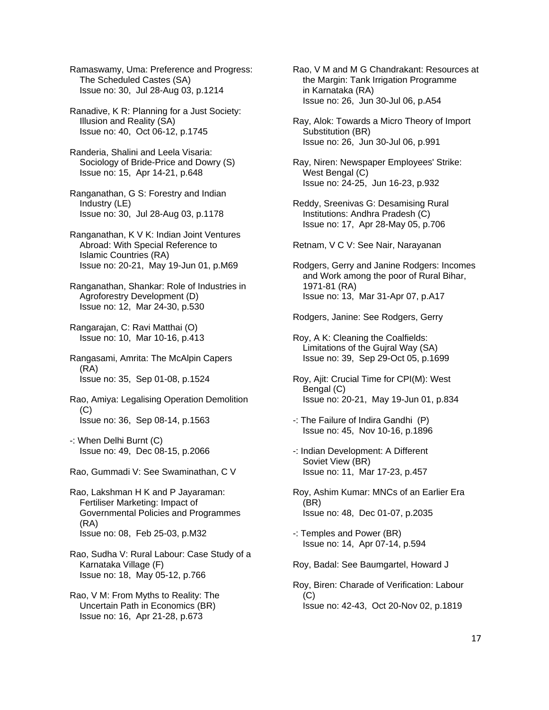Ramaswamy, Uma: Preference and Progress: The Scheduled Castes (SA) Issue no: 30, Jul 28-Aug 03, p.1214

 Ranadive, K R: Planning for a Just Society: Illusion and Reality (SA) Issue no: 40, Oct 06-12, p.1745

 Randeria, Shalini and Leela Visaria: Sociology of Bride-Price and Dowry (S) Issue no: 15, Apr 14-21, p.648

- Ranganathan, G S: Forestry and Indian Industry (LE) Issue no: 30, Jul 28-Aug 03, p.1178
- Ranganathan, K V K: Indian Joint Ventures Abroad: With Special Reference to Islamic Countries (RA) Issue no: 20-21, May 19-Jun 01, p.M69

 Ranganathan, Shankar: Role of Industries in Agroforestry Development (D) Issue no: 12, Mar 24-30, p.530

 Rangarajan, C: Ravi Matthai (O) Issue no: 10, Mar 10-16, p.413

 Rangasami, Amrita: The McAlpin Capers (RA) Issue no: 35, Sep 01-08, p.1524

 Rao, Amiya: Legalising Operation Demolition (C) Issue no: 36, Sep 08-14, p.1563

 -: When Delhi Burnt (C) Issue no: 49, Dec 08-15, p.2066

Rao, Gummadi V: See Swaminathan, C V

 Rao, Lakshman H K and P Jayaraman: Fertiliser Marketing: Impact of Governmental Policies and Programmes (RA) Issue no: 08, Feb 25-03, p.M32

 Rao, Sudha V: Rural Labour: Case Study of a Karnataka Village (F) Issue no: 18, May 05-12, p.766

 Rao, V M: From Myths to Reality: The Uncertain Path in Economics (BR) Issue no: 16, Apr 21-28, p.673

 Rao, V M and M G Chandrakant: Resources at the Margin: Tank Irrigation Programme in Karnataka (RA) Issue no: 26, Jun 30-Jul 06, p.A54

 Ray, Alok: Towards a Micro Theory of Import Substitution (BR) Issue no: 26, Jun 30-Jul 06, p.991

 Ray, Niren: Newspaper Employees' Strike: West Bengal (C) Issue no: 24-25, Jun 16-23, p.932

 Reddy, Sreenivas G: Desamising Rural Institutions: Andhra Pradesh (C) Issue no: 17, Apr 28-May 05, p.706

Retnam, V C V: See Nair, Narayanan

 Rodgers, Gerry and Janine Rodgers: Incomes and Work among the poor of Rural Bihar, 1971-81 (RA) Issue no: 13, Mar 31-Apr 07, p.A17

Rodgers, Janine: See Rodgers, Gerry

 Roy, A K: Cleaning the Coalfields: Limitations of the Gujral Way (SA) Issue no: 39, Sep 29-Oct 05, p.1699

 Roy, Ajit: Crucial Time for CPI(M): West Bengal (C) Issue no: 20-21, May 19-Jun 01, p.834

 -: The Failure of Indira Gandhi (P) Issue no: 45, Nov 10-16, p.1896

 -: Indian Development: A Different Soviet View (BR) Issue no: 11, Mar 17-23, p.457

 Roy, Ashim Kumar: MNCs of an Earlier Era (BR) Issue no: 48, Dec 01-07, p.2035

 -: Temples and Power (BR) Issue no: 14, Apr 07-14, p.594

Roy, Badal: See Baumgartel, Howard J

 Roy, Biren: Charade of Verification: Labour  $(C)$ Issue no: 42-43, Oct 20-Nov 02, p.1819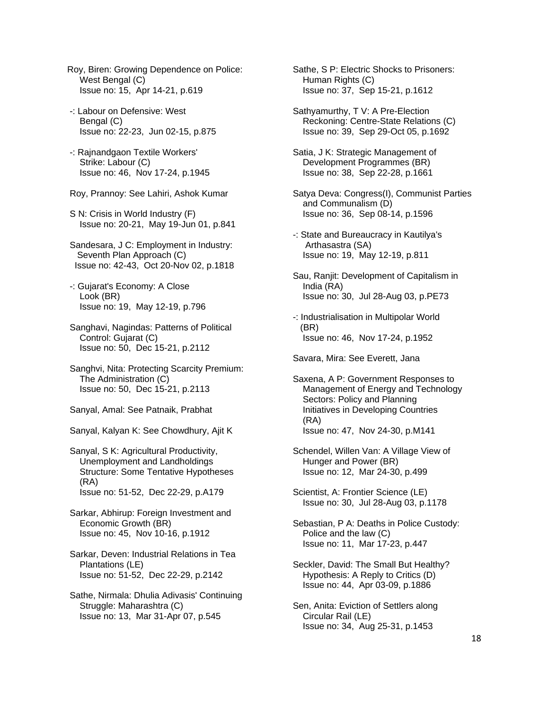- Roy, Biren: Growing Dependence on Police: West Bengal (C) Issue no: 15, Apr 14-21, p.619
- -: Labour on Defensive: West Bengal (C) Issue no: 22-23, Jun 02-15, p.875
- -: Rajnandgaon Textile Workers' Strike: Labour (C) Issue no: 46, Nov 17-24, p.1945
- Roy, Prannoy: See Lahiri, Ashok Kumar
- S N: Crisis in World Industry (F) Issue no: 20-21, May 19-Jun 01, p.841
- Sandesara, J C: Employment in Industry: Seventh Plan Approach (C) Issue no: 42-43, Oct 20-Nov 02, p.1818
- -: Gujarat's Economy: A Close Look (BR) Issue no: 19, May 12-19, p.796
- Sanghavi, Nagindas: Patterns of Political Control: Gujarat (C) Issue no: 50, Dec 15-21, p.2112
- Sanghvi, Nita: Protecting Scarcity Premium: The Administration (C) Issue no: 50, Dec 15-21, p.2113
- Sanyal, Amal: See Patnaik, Prabhat
- Sanyal, Kalyan K: See Chowdhury, Ajit K
- Sanyal, S K: Agricultural Productivity, Unemployment and Landholdings Structure: Some Tentative Hypotheses (RA) Issue no: 51-52, Dec 22-29, p.A179
- Sarkar, Abhirup: Foreign Investment and Economic Growth (BR) Issue no: 45, Nov 10-16, p.1912
- Sarkar, Deven: Industrial Relations in Tea Plantations (LE) Issue no: 51-52, Dec 22-29, p.2142
- Sathe, Nirmala: Dhulia Adivasis' Continuing Struggle: Maharashtra (C) Issue no: 13, Mar 31-Apr 07, p.545

 Sathe, S P: Electric Shocks to Prisoners: Human Rights (C) Issue no: 37, Sep 15-21, p.1612

- Sathyamurthy, T V: A Pre-Election Reckoning: Centre-State Relations (C) Issue no: 39, Sep 29-Oct 05, p.1692
- Satia, J K: Strategic Management of Development Programmes (BR) Issue no: 38, Sep 22-28, p.1661
- Satya Deva: Congress(I), Communist Parties and Communalism (D) Issue no: 36, Sep 08-14, p.1596
- -: State and Bureaucracy in Kautilya's Arthasastra (SA) Issue no: 19, May 12-19, p.811
- Sau, Ranjit: Development of Capitalism in India (RA) Issue no: 30, Jul 28-Aug 03, p.PE73
- -: Industrialisation in Multipolar World (BR) Issue no: 46, Nov 17-24, p.1952

Savara, Mira: See Everett, Jana

- Saxena, A P: Government Responses to Management of Energy and Technology Sectors: Policy and Planning Initiatives in Developing Countries (RA) Issue no: 47, Nov 24-30, p.M141
- Schendel, Willen Van: A Village View of Hunger and Power (BR) Issue no: 12, Mar 24-30, p.499
- Scientist, A: Frontier Science (LE) Issue no: 30, Jul 28-Aug 03, p.1178
- Sebastian, P A: Deaths in Police Custody: Police and the law (C) Issue no: 11, Mar 17-23, p.447
- Seckler, David: The Small But Healthy? Hypothesis: A Reply to Critics (D) Issue no: 44, Apr 03-09, p.1886
- Sen, Anita: Eviction of Settlers along Circular Rail (LE) Issue no: 34, Aug 25-31, p.1453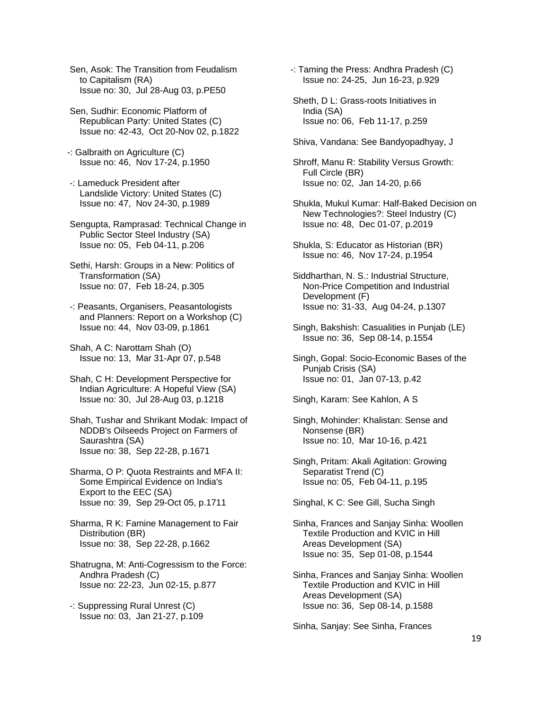Sen, Asok: The Transition from Feudalism to Capitalism (RA) Issue no: 30, Jul 28-Aug 03, p.PE50

 Sen, Sudhir: Economic Platform of Republican Party: United States (C) Issue no: 42-43, Oct 20-Nov 02, p.1822

- -: Galbraith on Agriculture (C) Issue no: 46, Nov 17-24, p.1950
- -: Lameduck President after Landslide Victory: United States (C) Issue no: 47, Nov 24-30, p.1989

 Sengupta, Ramprasad: Technical Change in Public Sector Steel Industry (SA) Issue no: 05, Feb 04-11, p.206

 Sethi, Harsh: Groups in a New: Politics of Transformation (SA) Issue no: 07, Feb 18-24, p.305

 -: Peasants, Organisers, Peasantologists and Planners: Report on a Workshop (C) Issue no: 44, Nov 03-09, p.1861

 Shah, A C: Narottam Shah (O) Issue no: 13, Mar 31-Apr 07, p.548

 Shah, C H: Development Perspective for Indian Agriculture: A Hopeful View (SA) Issue no: 30, Jul 28-Aug 03, p.1218

 Shah, Tushar and Shrikant Modak: Impact of NDDB's Oilseeds Project on Farmers of Saurashtra (SA) Issue no: 38, Sep 22-28, p.1671

 Sharma, O P: Quota Restraints and MFA II: Some Empirical Evidence on India's Export to the EEC (SA) Issue no: 39, Sep 29-Oct 05, p.1711

 Sharma, R K: Famine Management to Fair Distribution (BR) Issue no: 38, Sep 22-28, p.1662

- Shatrugna, M: Anti-Cogressism to the Force: Andhra Pradesh (C) Issue no: 22-23, Jun 02-15, p.877
- -: Suppressing Rural Unrest (C) Issue no: 03, Jan 21-27, p.109

-: Taming the Press: Andhra Pradesh (C) Issue no: 24-25, Jun 16-23, p.929

- Sheth, D L: Grass-roots Initiatives in India (SA) Issue no: 06, Feb 11-17, p.259
- Shiva, Vandana: See Bandyopadhyay, J

 Shroff, Manu R: Stability Versus Growth: Full Circle (BR) Issue no: 02, Jan 14-20, p.66

- Shukla, Mukul Kumar: Half-Baked Decision on New Technologies?: Steel Industry (C) Issue no: 48, Dec 01-07, p.2019
- Shukla, S: Educator as Historian (BR) Issue no: 46, Nov 17-24, p.1954
- Siddharthan, N. S.: Industrial Structure, Non-Price Competition and Industrial Development (F) Issue no: 31-33, Aug 04-24, p.1307
- Singh, Bakshish: Casualities in Punjab (LE) Issue no: 36, Sep 08-14, p.1554

 Singh, Gopal: Socio-Economic Bases of the Punjab Crisis (SA) Issue no: 01, Jan 07-13, p.42

Singh, Karam: See Kahlon, A S

- Singh, Mohinder: Khalistan: Sense and Nonsense (BR) Issue no: 10, Mar 10-16, p.421
- Singh, Pritam: Akali Agitation: Growing Separatist Trend (C) Issue no: 05, Feb 04-11, p.195

Singhal, K C: See Gill, Sucha Singh

- Sinha, Frances and Sanjay Sinha: Woollen Textile Production and KVIC in Hill Areas Development (SA) Issue no: 35, Sep 01-08, p.1544
- Sinha, Frances and Sanjay Sinha: Woollen Textile Production and KVIC in Hill Areas Development (SA) Issue no: 36, Sep 08-14, p.1588

Sinha, Sanjay: See Sinha, Frances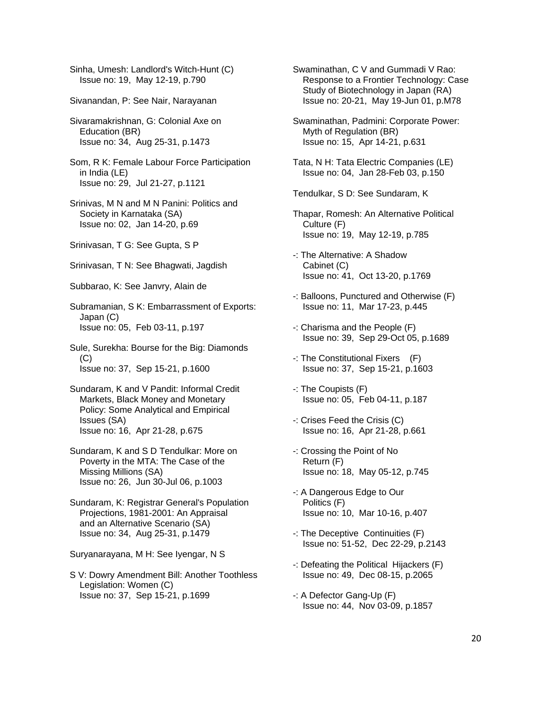Sinha, Umesh: Landlord's Witch-Hunt (C) Issue no: 19, May 12-19, p.790

Sivanandan, P: See Nair, Narayanan

 Sivaramakrishnan, G: Colonial Axe on Education (BR) Issue no: 34, Aug 25-31, p.1473

 Som, R K: Female Labour Force Participation in India (LE) Issue no: 29, Jul 21-27, p.1121

 Srinivas, M N and M N Panini: Politics and Society in Karnataka (SA) Issue no: 02, Jan 14-20, p.69

Srinivasan, T G: See Gupta, S P

Srinivasan, T N: See Bhagwati, Jagdish

Subbarao, K: See Janvry, Alain de

 Subramanian, S K: Embarrassment of Exports: Japan (C) Issue no: 05, Feb 03-11, p.197

 Sule, Surekha: Bourse for the Big: Diamonds (C) Issue no: 37, Sep 15-21, p.1600

- Sundaram, K and V Pandit: Informal Credit Markets, Black Money and Monetary Policy: Some Analytical and Empirical Issues (SA) Issue no: 16, Apr 21-28, p.675
- Sundaram, K and S D Tendulkar: More on Poverty in the MTA: The Case of the Missing Millions (SA) Issue no: 26, Jun 30-Jul 06, p.1003

 Sundaram, K: Registrar General's Population Projections, 1981-2001: An Appraisal and an Alternative Scenario (SA) Issue no: 34, Aug 25-31, p.1479

Suryanarayana, M H: See Iyengar, N S

 S V: Dowry Amendment Bill: Another Toothless Legislation: Women (C) Issue no: 37, Sep 15-21, p.1699

 Swaminathan, C V and Gummadi V Rao: Response to a Frontier Technology: Case Study of Biotechnology in Japan (RA) Issue no: 20-21, May 19-Jun 01, p.M78

 Swaminathan, Padmini: Corporate Power: Myth of Regulation (BR) Issue no: 15, Apr 14-21, p.631

 Tata, N H: Tata Electric Companies (LE) Issue no: 04, Jan 28-Feb 03, p.150

Tendulkar, S D: See Sundaram, K

- Thapar, Romesh: An Alternative Political Culture (F) Issue no: 19, May 12-19, p.785
- -: The Alternative: A Shadow Cabinet (C) Issue no: 41, Oct 13-20, p.1769
- -: Balloons, Punctured and Otherwise (F) Issue no: 11, Mar 17-23, p.445
- -: Charisma and the People (F) Issue no: 39, Sep 29-Oct 05, p.1689
- -: The Constitutional Fixers (F) Issue no: 37, Sep 15-21, p.1603
- -: The Coupists (F) Issue no: 05, Feb 04-11, p.187
- -: Crises Feed the Crisis (C) Issue no: 16, Apr 21-28, p.661
- -: Crossing the Point of No Return (F) Issue no: 18, May 05-12, p.745
- -: A Dangerous Edge to Our Politics (F) Issue no: 10, Mar 10-16, p.407
- -: The Deceptive Continuities (F) Issue no: 51-52, Dec 22-29, p.2143
- -: Defeating the Political Hijackers (F) Issue no: 49, Dec 08-15, p.2065
- -: A Defector Gang-Up (F) Issue no: 44, Nov 03-09, p.1857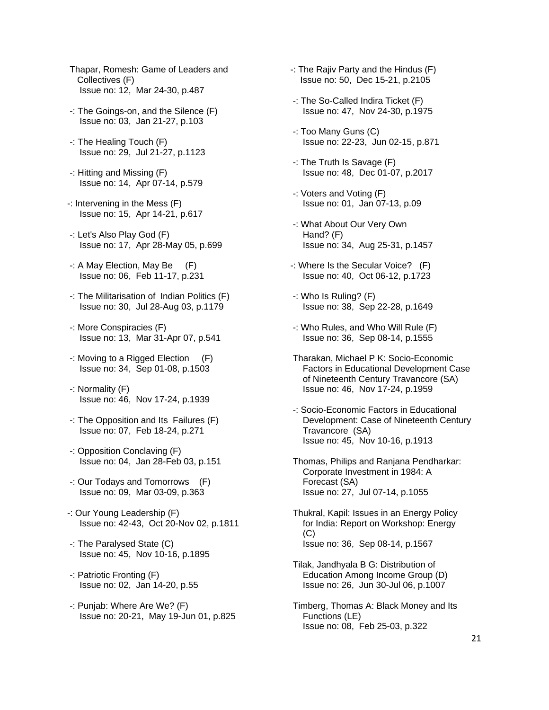- Thapar, Romesh: Game of Leaders and Collectives (F) Issue no: 12, Mar 24-30, p.487
- -: The Goings-on, and the Silence (F) Issue no: 03, Jan 21-27, p.103
- -: The Healing Touch (F) Issue no: 29, Jul 21-27, p.1123
- -: Hitting and Missing (F) Issue no: 14, Apr 07-14, p.579
- -: Intervening in the Mess (F) Issue no: 15, Apr 14-21, p.617
- -: Let's Also Play God (F) Issue no: 17, Apr 28-May 05, p.699
- -: A May Election, May Be (F) Issue no: 06, Feb 11-17, p.231
- -: The Militarisation of Indian Politics (F) Issue no: 30, Jul 28-Aug 03, p.1179
- -: More Conspiracies (F) Issue no: 13, Mar 31-Apr 07, p.541
- -: Moving to a Rigged Election (F) Issue no: 34, Sep 01-08, p.1503
- -: Normality (F) Issue no: 46, Nov 17-24, p.1939
- -: The Opposition and Its Failures (F) Issue no: 07, Feb 18-24, p.271
- -: Opposition Conclaving (F) Issue no: 04, Jan 28-Feb 03, p.151
- -: Our Todays and Tomorrows (F) Issue no: 09, Mar 03-09, p.363
- -: Our Young Leadership (F) Issue no: 42-43, Oct 20-Nov 02, p.1811
- -: The Paralysed State (C) Issue no: 45, Nov 10-16, p.1895
- -: Patriotic Fronting (F) Issue no: 02, Jan 14-20, p.55
- -: Punjab: Where Are We? (F) Issue no: 20-21, May 19-Jun 01, p.825
- -: The Rajiv Party and the Hindus (F) Issue no: 50, Dec 15-21, p.2105
- -: The So-Called Indira Ticket (F) Issue no: 47, Nov 24-30, p.1975
- -: Too Many Guns (C) Issue no: 22-23, Jun 02-15, p.871
- -: The Truth Is Savage (F) Issue no: 48, Dec 01-07, p.2017
- -: Voters and Voting (F) Issue no: 01, Jan 07-13, p.09
- -: What About Our Very Own Hand? (F) Issue no: 34, Aug 25-31, p.1457
- -: Where Is the Secular Voice? (F) Issue no: 40, Oct 06-12, p.1723
- -: Who Is Ruling? (F) Issue no: 38, Sep 22-28, p.1649
- -: Who Rules, and Who Will Rule (F) Issue no: 36, Sep 08-14, p.1555
- Tharakan, Michael P K: Socio-Economic Factors in Educational Development Case of Nineteenth Century Travancore (SA) Issue no: 46, Nov 17-24, p.1959
- -: Socio-Economic Factors in Educational Development: Case of Nineteenth Century Travancore (SA) Issue no: 45, Nov 10-16, p.1913
- Thomas, Philips and Ranjana Pendharkar: Corporate Investment in 1984: A Forecast (SA) Issue no: 27, Jul 07-14, p.1055
- Thukral, Kapil: Issues in an Energy Policy for India: Report on Workshop: Energy  $(C)$ Issue no: 36, Sep 08-14, p.1567
- Tilak, Jandhyala B G: Distribution of Education Among Income Group (D) Issue no: 26, Jun 30-Jul 06, p.1007
- Timberg, Thomas A: Black Money and Its Functions (LE) Issue no: 08, Feb 25-03, p.322